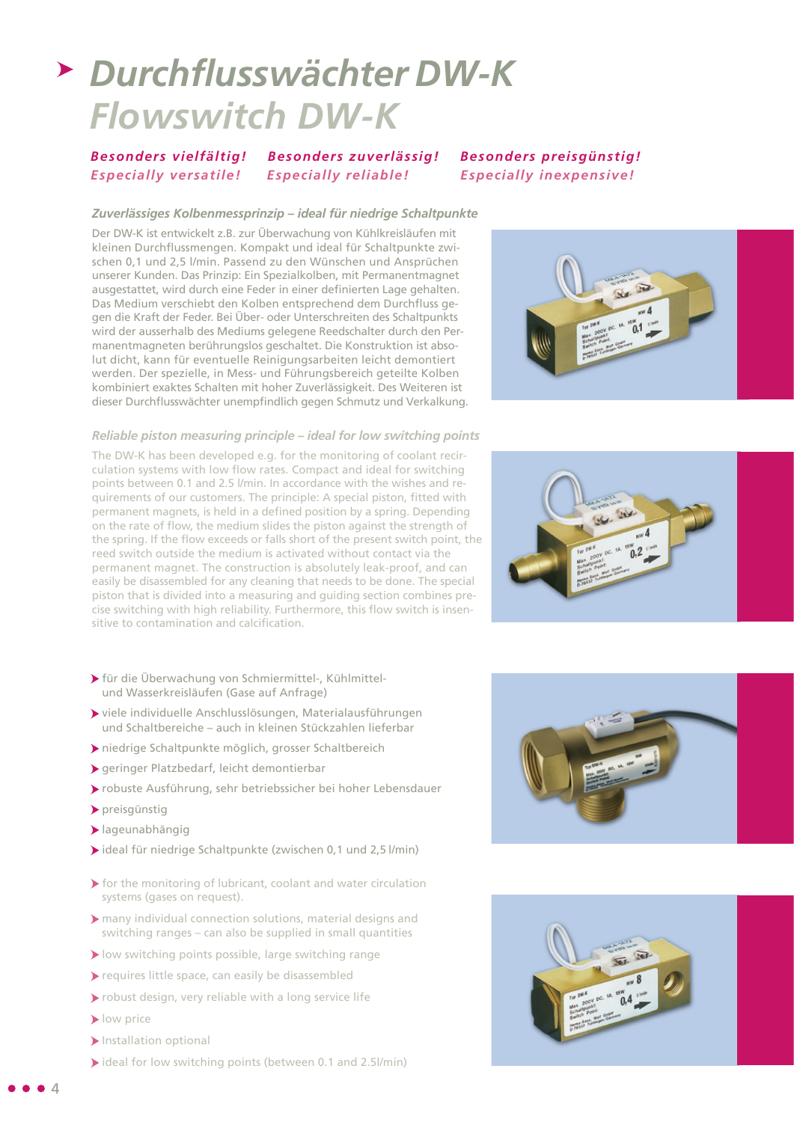# *Durchflusswächter DW-K Flowswitch DW-K*

### *Besonders vielfältig! Besonders zuverlässig! Besonders preisgünstig! Especially versatile! Especially reliable! Especially inexpensive!*

#### *Zuverlässiges Kolbenmessprinzip – ideal für niedrige Schaltpunkte*

Der DW-K ist entwickelt z.B. zur Überwachung von Kühlkreisläufen mit kleinen Durchflussmengen. Kompakt und ideal für Schaltpunkte zwischen 0,1 und 2,5 l/min. Passend zu den Wünschen und Ansprüchen unserer Kunden. Das Prinzip: Ein Spezialkolben, mit Permanentmagnet ausgestattet, wird durch eine Feder in einer definierten Lage gehalten. Das Medium verschiebt den Kolben entsprechend dem Durchfluss gegen die Kraft der Feder. Bei Über- oder Unterschreiten des Schaltpunkts wird der ausserhalb des Mediums gelegene Reedschalter durch den Permanentmagneten berührungslos geschaltet. Die Konstruktion ist absolut dicht, kann für eventuelle Reinigungsarbeiten leicht demontiert werden. Der spezielle, in Mess- und Führungsbereich geteilte Kolben kombiniert exaktes Schalten mit hoher Zuverlässigkeit. Des Weiteren ist dieser Durchflusswächter unempfindlich gegen Schmutz und Verkalkung.

### *Reliable piston measuring principle – ideal for low switching points*

The DW-K has been developed e.g. for the monitoring of coolant recirculation systems with low flow rates. Compact and ideal for switching points between 0.1 and 2.5 l/min. In accordance with the wishes and requirements of our customers. The principle: A special piston, fitted with permanent magnets, is held in a defined position by a spring. Depending on the rate of flow, the medium slides the piston against the strength of the spring. If the flow exceeds or falls short of the present switch point, the reed switch outside the medium is activated without contact via the permanent magnet. The construction is absolutely leak-proof, and can easily be disassembled for any cleaning that needs to be done. The special piston that is divided into a measuring and guiding section combines precise switching with high reliability. Furthermore, this flow switch is insensitive to contamination and calcification.



- für die Überwachung von Schmiermittel-, Kühlmittelund Wasserkreisläufen (Gase auf Anfrage)
- viele individuelle Anschlusslösungen, Materialausführungen und Schaltbereiche – auch in kleinen Stückzahlen lieferbar
- niedrige Schaltpunkte möglich, grosser Schaltbereich
- geringer Platzbedarf, leicht demontierbar
- robuste Ausführung, sehr betriebssicher bei hoher Lebensdauer
- preisgünstig
- lageunabhängig
- ideal für niedrige Schaltpunkte (zwischen 0,1 und 2,5 l/min)
- $\triangleright$  for the monitoring of lubricant, coolant and water circulation systems (gases on request).
- many individual connection solutions, material designs and switching ranges – can also be supplied in small quantities
- low switching points possible, large switching range
- requires little space, can easily be disassembled
- robust design, very reliable with a long service life
- low price
- $\blacktriangleright$  Installation optional
- ideal for low switching points (between 0.1 and 2.5/min)